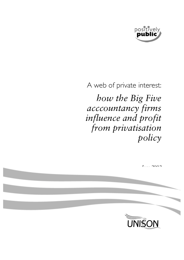

# A web of private interest:

*how the Big Five acccountancy firms influence and profit from privatisation policy* 

| $T = 2000$ |
|------------|
|            |
|            |
|            |
| UNISON     |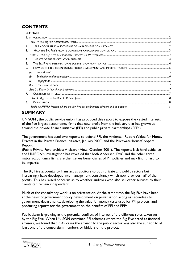# **CONTENTS**

| 2.                                                                                     |  |
|----------------------------------------------------------------------------------------|--|
| 3.                                                                                     |  |
|                                                                                        |  |
| 4.                                                                                     |  |
| 5.                                                                                     |  |
| 6.                                                                                     |  |
| (a)                                                                                    |  |
| (b)                                                                                    |  |
|                                                                                        |  |
|                                                                                        |  |
|                                                                                        |  |
| 7.                                                                                     |  |
|                                                                                        |  |
| 8.                                                                                     |  |
| Table 4:: PFI/PPP Projects where the Big Five act as financial advisers and as audtors |  |

# **SUMMARY**

UNISON , the public service union, has produced this report to expose the vested interests of the five largest accountancy firms that now profit from the industry that has grown up around the private finance initiative (PFI) and public private partnerships (PPPs).

The government has used two reports to defend PFI, the Andersen Report (Value for Money Drivers in the Private Finance Initiative, January 2000) and the PricewaterhouseCoopers Report

(Public Private Partnerships: A clearer View, October 2001). The reports lack hard evidence and UNISON's investigation has revealed that both Andersen, PwC and the other three major accountancy firms are themselves beneficiaries of PFI policies and may find it hard to be impartial.

The Big Five accountancy firms act as auditors to both private and public sectors but increasingly have developed into management consultancy which now provides half of their profits. This has raised concerns as to whether auditors who also sell other services to their clients can remain independent.

Much of the consultancy work is on privatisation. At the same time, the Big Five have been at the heart of government policy development on privatisation acting as secondees to government departments; developing the value for money tests used for PFI projects; and producing reports for the government on the benefits of PFI and PPPs.

Public alarm is growing at the potential conflicts of interest of the different roles taken on by the Big Five. When UNISON examined PFI schemes where the Big Five acted as financial advisers, we found that in 45 cases the advisor to the public sector was also the auditor to at least one of the consortium members or bidders on the project.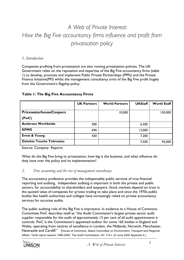# *A Web of Private Interest: How the Big Five accountancy firms influence and profit from privatisation policy*

#### *1. Introduction*

Companies profiting from privatisation are also running privatisation policies. The UK Government relies on the reputation and expertise of the Big Five accountancy firms (table 1) to develop, promote and implement Public Private Partnerships (PPPs) and the Private Finance Initiative(PFI) whilst the management consultancy arms of the Big Five profit hugely from the Government's flagship policy.

|                                 | <b>UK Partners</b> | <b>World Partners</b> | <b>UKStaff</b> | World Staff |
|---------------------------------|--------------------|-----------------------|----------------|-------------|
|                                 |                    |                       |                |             |
| <b>PricewaterhouseCoopers</b>   |                    | 10,000                |                | 150,000     |
| (PwC)                           |                    |                       |                |             |
| <b>Andersen Worldwide</b>       | 500                |                       | 6,500          |             |
| <b>KPMG</b>                     | 690                |                       | 12,000         |             |
| <b>Ernst &amp; Young</b>        | 430                |                       | 7,200          |             |
| <b>Deloitte Touche Tohmatsu</b> |                    |                       | 7,500          | 95,000      |

#### **Table 1: The Big Five Accountancy Firms**

Source: Company Reports

What do the Big Five bring to privatisation, how big is the business, and what influence do they have over the policy and its implementation?

#### *2. True accounting and the rise of management consultancy*

The accountancy profession provides the indispensable public services of true financial reporting and auditing. Independent auditing is important in both the private and public sectors, for accountability to shareholders and taxpayers. Stock markets depend on trust in the quoted value of companies for private trading to take place and since the 1970s public bodies like health authorities and colleges have increasingly relied on private accountancy services for accurate audits.

The public auditing role of the Big Five is impressive. In evidence to a House of Commons Committee PwC describes itself as "the Audit Commission's largest private sector audit supplier responsible for the audit of approximately 13 per cent of all audit appointments it controls. PwC is the Commission's appointed auditor for some 165 bodies in England and Wales, operating from centres of excellence in London, the Midlands, Norwich, Manchester, Newcastle and Cardiff." (House of Commons. Select Committee on Environment, Transport and Regional Affairs. Tenth report session 1999-2000. The Audit Commission, HC 174-I; 22 June 2000 Appendix 4.)

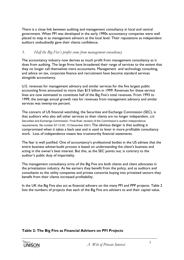There is a close link between auditing and management consultancy in local and central government. When PFI was developed in the early 1990s accountancy companies were well placed to step in as management advisors at the local level. Their reputations as independent auditors undoubtedly gave their clients confidence.

#### *3. Half the Big Five's profits come from management consultancy*

The accountancy industry now derives as much profit from management consultancy as it does from auditing. The large firms have broadened their range of services to the extent that they no longer call themselves mere accountants. Management and technology consulting, and advice on tax, corporate finance and recruitment have become standard services alongside accountancy.

U.S. revenues for management advisory and similar services for the five largest public accounting firms amounted to more than \$15 billion in 1999. Revenues for these service lines are now estimated to constitute half of the Big Five's total revenues. From 1993 to 1999, the average annual growth rate for revenues from management advisory and similar services was twenty-six percent.

The concern of US financial watchdog, the Securities and Exchange Commission (SEC), is that auditors who also sell other services to their clients are no longer independent. (US Securities and Exchange Commission. Final Rule: revision of the Commission's auditor independence requirements, file number S7-13-00, 10 December 2001) The obvious danger is that auditing is compromised when it takes a back seat and is used to lever in more profitable consultancy work. Loss of independence means less trustworthy financial statements.

The fear is well justified. One of accountancy's professional bodies in the US advises that the entire business adviser/audit process is based on understanding the client's business and acting in the owner's best interest. But this, as the SEC points out, is contrary to the auditor's public duty of impartiality.

The management consultancy arms of the Big Five are both clients and client advocates in the privatisation industry. As fee earners they benefit from the policy, and as auditors and consultants to the utility companies and private consortia buying into privatised sectors they benefit from their clients increased profitability.

In the UK the Big Five also act as financial adivsers on the many PFI and PPP projects. Table 2 lists the numbers of projects that each of the Big Five are advisers to and their capital value.

#### **Table 2: The Big Five as Financial Advisers on PFI Projects**

**UNISON**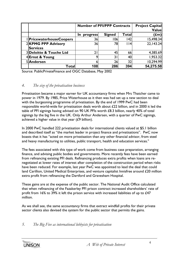|                                   | <b>Number of PFI/PPP Contracts</b> | <b>Project Capital</b><br>Value |       |           |
|-----------------------------------|------------------------------------|---------------------------------|-------|-----------|
|                                   | progress<br>In                     | <b>Signed</b>                   | Total | (£m)∥     |
| <b>PricewaterhouseCoopers</b>     | 36                                 | 106                             | 142   | 15,498.34 |
| 2KPMG PPP Advisory                | 36                                 | 78                              | l 14  | 22,143.24 |
| <b>Services</b>                   |                                    |                                 |       |           |
| <b>3Deloitte &amp; Touche Ltd</b> | 2 <sub>1</sub>                     | 45                              | 66    | 4,385.69  |
| 4Ernst & Young                    |                                    | ا 3                             | 40    | 1,953.32  |
| 5 Andersen                        | 6                                  | 26                              | 32    | 10,294.99 |
| Total                             | 108                                | 286                             | 394   | 54,275.58 |

Source: PublicPrivateFinance and OGC Database, May 2002

#### *4. The size of the privatisation business*

Privatisation became a major earner for UK accountancy firms when Mrs Thatcher came to power in 1979. By 1985, Price Waterhouse as it then was had set up a new section to deal with the burgeoning programme of privatisation. By the end of 1999 PwC had been responsible world-wide for privatisation deals worth about £22 billion, and in 2000 it led the table of PFI signings having advised on 90 UK PFIs worth £8.3 billion, nearly 40% of total signings by the big five in the UK. Only Arthur Andersen, with a quarter of PwC signings, achieved a higher value in that year  $(E9$  billion).

In 2000 PwC handled 222 privatisation deals for international clients valued at \$5.1 billion and described itself as "the market leader in project finance and privatisations". PwC now boasts that it has "acted on more privatisation than any other financial advisor, from steel and heavy manufacturing to utilities, public transport, health and education services."

The fees associated with this type of work come from business case preparation, arranging finance, and advising public bodies and governments. More recently fees have been earned from refinancing existing PFI deals. Refinancing produces extra profits when loans are renegotiated at lower rates of interest after completion of the construction period when risks have been reduced. For example, last year PwC was appointed to lead the deal that could land Carillion, United Medical Enterprises, and venture capitalist Innisfree around £20 million extra profit from refinancing the Dartford and Gravesham Hospital.

These gains are at the expense of the public sector. The National Audit Office calculated that when refinancing of the Fazakerley PFI prison contract increased shareholders' rate of profit from 16% to 39% it left the prison service with increased liabilities of up to £47 million.

As we shall see, the same accountancy firms that extract windfall profits for their private sector clients also devised the system for the public sector that permits the gains.

### *5. The Big Five as international lobbyists for privatisation*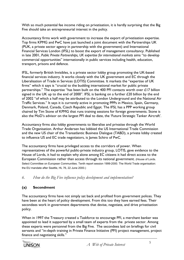With so much potential fee income riding on privatisation, it is hardly surprising that the Big Five should take an entrepreneurial interest in the policy.

Accountancy firms work with government to increase the export of privatisation expertise. Top firms KPMG and PwC have just launched a joint document with the Partnerships UK (PUK, a private sector agency in partnership with the government) and International Financial Services London (IFSL) to boost the export of management consultancy. Published in late 2001, *Public Private Partnerships, UK expertise for international markets* aims "to develop commercial opportunities" internationally in public services including health, education, transport, prisons and defence.

IFSL, formerly British Invisibles, is a private sector lobby group promoting the UK-based financial services industry. It works closely with the UK government and EC through the Liberalisation of Trade in Services (LOTIS) Committee. It markets the "expertise of UK firms" which it says is "crucial to the budding international market for public private partnerships." The expertise "has been built on the 400 PFI contacts worth over £17 billion signed in the UK up to the end of 2000". IFSL is banking on a further  $£20$  billion by the end of 2002 "of which a half may be attributed to the London Underground and the National Air Traffic Services." It says it is currently active in promoting PPPs in Mexico, Spain, Germany, Denmark, Poland, Canada, Czech Republic and Egypt. The IFSL has a PPP working group chaired by Tim Stone of KPMG that runs training sessions for foreign governments. Stone is also the MoD's advisor on the largest PFI deal to date, the 'Future Strategic Tanker Aircraft'.

Accountancy firms also lobby governments to liberalise and privatise through the World Trade Organisation. Arthur Andersen has lobbied the US International Trade Commission and the new US chair of the Transatlantic Business Dialogue (TABD), a private lobby created to influence US and EC trade negotiators, is James Schiro of PwC.

The accountancy firms have privileged access to the corridors of power. When representatives of the powerful public-private industry group, LOTIS, gave evidence to the House of Lords, it had to explain why alone among EC citizens it had direct access to the European Commission rather than access through its national government. (House of Lords. Select Committee on European Communities. Tenth report session 1999-2000. The World Trade organisation: the EU mandate after Seattle, HL 76, 22 June 2000.)

*6. How do the Big Five influence policy development and implementation?*

#### **(a) Secondment**

The accountancy firms have not simply sat back and profited from government polices. They have been at the heart of policy development. From this too they have earned fees. Their secondees work in government departments that devise, negotiate, and drive privatisation policy.

When in 1997 the Treasury created a Taskforce to encourage PFI, a merchant banker was appointed to lead it supported by a small team of experts from the private sector. Among these experts were personnel from the Big Five. The secondees laid on briefings for civil servants and "in-depth training in Private Finance Initiative (PFI) project management, project finance and negotiating skills."

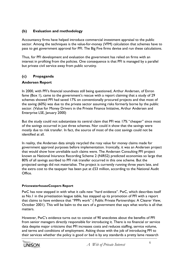#### **(b) Evaluation and methodology**

Accountancy firms have helped introduce commercial investment appraisal to the public sector. Among the techniques is the value-for-money (VFM) calculation that schemes have to pass to get government approval for PFI. The Big Five firms devise and run these calculations.

Thus, for PFI development and evaluation the government has relied on firms with an interest in profiting from the policies. One consequence is that PFI is managed by a parallel but private civil service away from public scrutiny.

#### **(c) Propaganda**

#### **Andersen Report**

In 2000, with PFI's financial soundness still being questioned, Arthur Andersen, of Enron fame (Box 1), came to the government's rescue with a report claiming that a study of 29 schemes showed PFI had saved 17% on conventionally procured projects and that most of the saving (60%) was due to the private sector assuming risks formerly borne by the public sector. (Value for Money Drivers in the Private Finance Initiative, Arthur Andersen and Enterprise LSE, January 2000)

But the study could not substantiate its central claim that PFI was 17% "cheaper" since most of the savings occurred in just three schemes. Nor could it show that the savings were mostly due to risk transfer. In fact, the source of most of the cost savings could not be identified at all.

In reality, the Andersen data simply recycled the rosy value for money claims made for government approval purposes before implementation. Ironically, it was an Andersen project that would show how unreliable such claims were. The Andersen Consulting PFI project known as National Iniurance Recording Scheme 2 (NIRS2) predicted economies so large that 80% of all savings ascribed to PFI risk transfer occurred in this one scheme. But the projected savings did not materialise. The project is currently running three years late, and the extra cost to the taxpayer has been put at £53 million, according to the National Audit Office.

#### **PricewaterhouseCoopers Report**

PwC has now stepped in with what it calls new "hard evidence". PwC, which describes itself as No.1 in the privatisation league table, has stepped up its promotion of PFI with a report that claims to have evidence that "PPPs work" ( Public Private Partnerships: A Clearer View, October 2001). This will be balm to the ears of a government that says what works is all that matters.

However, PwC's evidence turns out to consist of 90 anecdotes about the benefits of PFI from senior managers directly responsible for introducing it. There is no financial or service data despite major criticisms that PFI increases costs and reduces staffing, service volume, and terms and conditions of employment. Asking those with the job of introducing PFI to their services whether the policy is good or bad is by any standards a pretty lame research

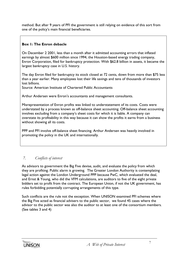method. But after 9 years of PFI the government is still relying on evidence of this sort from one of the policy's main financial beneficiaries.

#### **Box 1: The Enron debacle**

On December 2 2001, less than a month after it admitted accounting errors that inflated earnings by almost \$600 million since 1994, the Houston-based energy trading company, Enron Corporation, filed for bankruptcy protection. With \$62.8 billion in assets, it became the largest bankruptcy case in U.S. history.

The day Enron filed for bankruptcy its stock closed at 72 cents, down from more than \$75 less than a year earlier. Many employees lost their life savings and tens of thousands of investors lost billions.

Source: American Institute of Chartered Public Accountants

Arthur Andersen were Enron's accountants and management consultants.

Misrepresentation of Enron profits was linked to understatement of its costs. Costs were understated by a process known as off-balance sheet accounting. Off-balance sheet accounting involves excluding from a company's sheet costs for which it is liable. A company can overstate its profitability in this way because it can show the profits it earns from a business without showing all its costs.

PPP and PFI involve off-balance sheet financing. Arthur Andersen was heavily involved in promoting the policy in the UK and internationally.

### *7. Conflicts of interest*

As advisors to government the Big Five devise, audit, and evaluate the policy from which they are profiting. Public alarm is growing. The Greater London Authority is contemplating legal action against the London Underground PPP because PwC, which evaluated the deal, and Ernst & Young, who did the VFM calculations, are auditors to five of the eight private bidders set to profit from the contract. The European Union, if not the UK government, has rules forbidding potentially corrupting arrangements of this type.

Such conflicts are the rule not the exception. When UNISON examined PFI schemes where the Big Five acted as financial advisers to the public sector, we found 45 cases where the advisor to the public sector was also the auditor to at least one of the consortium members. (See tables 3 and 4)

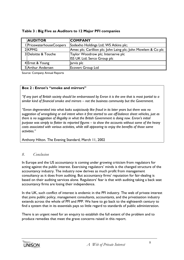| <b>AUDITOR</b>           | <b>COMPANY</b>                                                |
|--------------------------|---------------------------------------------------------------|
| I PricewaterhouseCoopers | Sodexho Holdings Ltd; WS Atkins plc;                          |
| 2KPMG                    | Amec plc; Carillion plc; John Laing plc; John Mowlem & Co plc |
| 3 Deloitte & Touche      | Taylor Woodrow plc; Interserve plc                            |
|                          | ISS UK Ltd; Serco Group plc                                   |
| 4Ernst & Young           | Jarvis plc                                                    |
| 5 Arthur Andersen        | <b>Ecovert Group Ltd</b>                                      |

#### **Table 3 : Big Five as Auditors to 12 Major PFI companies**

Source: Company Annual Reports

#### **Box 2 : Enron's "smoke and mirrors"**

*"If any part of British society should be embarrassed by Enron it is the one that is most partial to a similar kind of financial smoke and mirrors – not the business community but the Government.*

*"Enron degenerated into what looks suspiciously like fraud in its later years but there was no suggestion of wrongdoing or evil intent when it first started to use off-balance sheet vehicles, just as there is no suggestion of illegality in what the British Government is doing now. Enron's initial purpose was simply to flatter its reported figures – to show the accounts without some of the heavy costs associated with various activities, while still appearing to enjoy the benefits of those same activities."*

Anthony Hilton. The Evening Standard, March 11, 2002

#### *8. Conclusion*

In Europe and the US accountancy is coming under growing criticism from regulators for acting against the public interest. Exercising regulators' minds is the changed structure of the accountancy industry. The industry now derives as much profit from management consultancy as it does from auditing. But accountancy firms' reputation for fair-dealing is based on their auditing services alone. Regulators' fear is that with auditing taking a back seat accountancy firms are losing their independence.

In the UK, such conflict of interest is endemic in the PFI industry. The web of private interest that joins public policy, management consultants, accountants, and the privatisation industry extends across the whole of PFI and PPP. We have to go back to the eighteenth century to find a system that in its essentials pays so little regard to standards of public administration.

There is an urgent need for an enquiry to establish the full extent of the problem and to produce remedies that meet the grave concerns raised in this report.

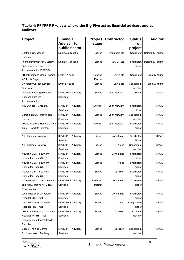## **Table 4: PFI/PPP Projects where the Big Five act as financial advisers and as auditors**

| <b>Project</b>                   | <b>Financial</b>         | <b>Project</b> | <b>Contractor</b> | <b>Status</b> | <b>Auditor</b>    |
|----------------------------------|--------------------------|----------------|-------------------|---------------|-------------------|
|                                  | <b>Adviser to</b>        | stage          |                   | on            |                   |
|                                  | public sector            |                |                   | project       |                   |
| Sheffield City Council -         | Deloitte & Touche        | Signed         | Interserve plc    | Contractor    | Deloitte & Touche |
| Schools                          |                          |                |                   |               |                   |
| Inland Revenue/ HM Customs       | Deloitte & Touche        | Signed         | <b>ISS UK Ltd</b> | Shortlisted   | Deloitte & Touche |
| and Excise Serviced              |                          |                |                   | bidder        |                   |
| Accommodation (STEPS)            |                          |                |                   |               |                   |
| LB of Richmond Upon Thames       | Ernst & Young            | Preferred      | Jarvis plc        | Contractor    | Ernst & Young     |
| - Schools Project                |                          | Partner        |                   |               |                   |
| University College London -      | Ernst & Young            | Signed         | Jarvis plc        | Consortium    | Ernst & Young     |
| Cruciform                        |                          |                |                   | member        |                   |
| Defence Housing Executive -      | <b>KPMG PPP Advisory</b> | Signed         | John Mowlem       | Bidder        | <b>KPMG</b>       |
| <b>Serviced Families</b>         | Services                 |                |                   |               |                   |
| Accommodation                    |                          |                |                   |               |                   |
| A92 Dundee - Arboarth            | <b>KPMG PPP Advisory</b> | Shortlist      | John Mowlem       | Shortlisted   | <b>KPMG</b>       |
|                                  | Services                 |                |                   | bidder        |                   |
| Ceredigion CC - Penweddig        | <b>KPMG PPP Advisory</b> | Signed         | John Mowlem       | Consortium    | <b>KPMG</b>       |
| School                           | Services                 |                |                   | member        |                   |
| Oxford Radcliffe Hospitals NHS   | <b>KPMG PPP Advisory</b> | Shortlist      | John Mowlem       | Shortlisted   | <b>KPMG</b>       |
| Trust - Radcliffe Infirmary      | Services                 |                |                   | bidder        |                   |
|                                  |                          |                |                   |               |                   |
| A13 Thames Gateway               | <b>KPMG PPP Advisory</b> | Signed         | John Laing        | Shortlisted   | <b>KPMG</b>       |
|                                  | Services                 |                |                   | <b>Bidder</b> |                   |
| A13 Thames Gateway               | <b>KPMG PPP Advisory</b> | Signed         | Amec              | Consortium    | <b>KPMG</b>       |
|                                  | Services                 |                |                   | member        |                   |
| Newport CBC - Southern           | <b>KPMG PPP Advisory</b> | Signed         | John Laing        | Shortlisted   | <b>KPMG</b>       |
| Distributor Road (SDR)           | Services                 |                |                   | bidder        |                   |
| Newport CBC - Southern           | <b>KPMG PPP Advisory</b> | Signed         | Amec              | Shortlisted   | <b>KPMG</b>       |
| Distributor Road (SDR)           | Services                 |                |                   | bidder        |                   |
| Newport CBC - Southern           | <b>KPMG PPP Advisory</b> | Signed         | Carrillion        | Shortlisted   | <b>KPMG</b>       |
| Distributor Road (SDR)           | Services                 |                |                   | bidder        |                   |
| University Hospitals Coventry    | <b>KPMG PPP Advisory</b> | Preferred      | John Laing        | Shortlisted   | <b>KPMG</b>       |
| and Warwickshire NHS Trust -     | Services                 | Partner        |                   | bidder        |                   |
| New Hospital                     |                          |                |                   |               |                   |
| West Middlesex University        | <b>KPMG PPP Advisory</b> | Signed         | John Laing        | Shortlisted   | <b>KPMG</b>       |
| <b>Hospital NHS Trust</b>        | Services                 |                |                   | bidder        |                   |
| <b>West Middlesex University</b> | <b>KPMG PPP Advisory</b> | Signed         | Amec              | Pre qualified | <b>KPMG</b>       |
| <b>Hospital NHS Trust</b>        | Services                 |                |                   | bidder        |                   |
| North Staffordshire Combined     | <b>KPMG PPP Advisory</b> | Signed         | Carrillion        | Consortium    | <b>KPMG</b>       |
| Healthcare NHS Trust -           | Services                 |                |                   | member        |                   |
| Reprovision of Mental Health     |                          |                |                   |               |                   |
| Facilities                       |                          |                |                   |               |                   |
| Secure Training Centre -         | <b>KPMG PPP Advisory</b> | Signed         | Carrillion        | Consortium    | <b>KPMG</b>       |
| Cookham Wood/Medway              | Services                 |                |                   | member        |                   |

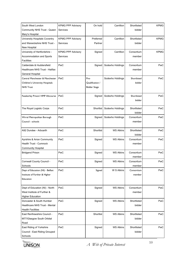| South West London<br>Community NHS Trust - Queen                                         | <b>KPMG PPP Advisory</b><br>Services | On hold                                        | Carrillion       | Shortlisted<br>bidder | <b>KPMG</b> |
|------------------------------------------------------------------------------------------|--------------------------------------|------------------------------------------------|------------------|-----------------------|-------------|
| Mary's Hospital<br>University Hospitals Coventry                                         | <b>KPMG PPP Advisory</b>             | Preferred                                      | Carrillion       | Shortlisted           | <b>KPMG</b> |
| and Warwickshire NHS Trust -<br>New Hospital                                             | Services                             | Partner                                        |                  | bidder                |             |
| University of Hertfordshire -<br>Accommodation and Sports<br><b>Facilities</b>           | <b>KPMG PPP Advisory</b><br>Services | Signed                                         | Carrillion       | Consortium<br>member  | <b>KPMG</b> |
| Calderdale & Huddersfield<br>Healthcare NHS Trust - Halifax<br>General Hospital          | PwC                                  | Signed                                         | Sodexho Holdings | Consortium<br>member  | PwC         |
| Central Manchester & Manchester<br>Children's University Hospitals<br><b>NHS Trust</b>   | PwC                                  | Pre-<br>Qualification /<br><b>Bidder Stage</b> | Sodexho Holdings | Shortlisted<br>bidder | PwC         |
| Fazakerley Prison/ HMP Altcourse                                                         | PwC                                  | Signed                                         | Sodexho Holdings | Shortlisted<br>bidder | PwC         |
| The Royal Logistic Corps                                                                 | PwC                                  | Shortlist                                      | Sodexho Holdings | Shortlisted<br>bidder | PwC         |
| Wirral Metropolitan Borough<br>Council - schools                                         | PwC                                  | Signed                                         | Sodexho Holdings | Consortium<br>member  | PwC         |
| A92 Dundee - Arboarth                                                                    | PwC                                  | Shortlist                                      | <b>WS Atkins</b> | Shortlisted<br>bidder | PwC         |
| Ayrshire & Arran Community<br><b>Health Trust - Cumnock</b><br>Community Hospital        | PwC                                  | Signed                                         | <b>WS Atkins</b> | Consortium<br>member  | PwC         |
| <b>Bridgend Prison</b>                                                                   | <b>PwC</b>                           | Signed                                         | <b>WS Atkins</b> | Consortium<br>member  | PwC         |
| Cornwall County Council -<br>Schools                                                     | PwC                                  | Signed                                         | <b>WS Atkins</b> | Consortium<br>member  | PwC         |
| Dept of Education (NI) - Belfast<br>Institute of Further & Higher<br>Education           | PwC                                  | Signed                                         | W S Atkins       | Consortium<br>member  | PwC         |
| Dept of Education (NI) - North<br>West Institute of Further &<br><b>Higher Education</b> | PwC                                  | Signed                                         | <b>WS Atkins</b> | Consortium<br>member  | PwC         |
| Doncaster & South Humber<br>Healthcare NHS Trust - Mental<br><b>Health Facilities</b>    | PwC                                  | Signed                                         | <b>WS Atkins</b> | Shortlisted<br>bidder | PwC         |
| East Renfrewshire Council -<br>M77/Glasgow South Orbital<br>Road                         | PwC                                  | Shortlist                                      | <b>WS Atkins</b> | Shortlisted<br>bidder | PwC         |
| East Riding of Yorkshire<br>Council - East Riding Grouped<br>Schools                     | PwC                                  | Signed                                         | <b>WS Atkins</b> | Shortlisted<br>bidder | PwC         |